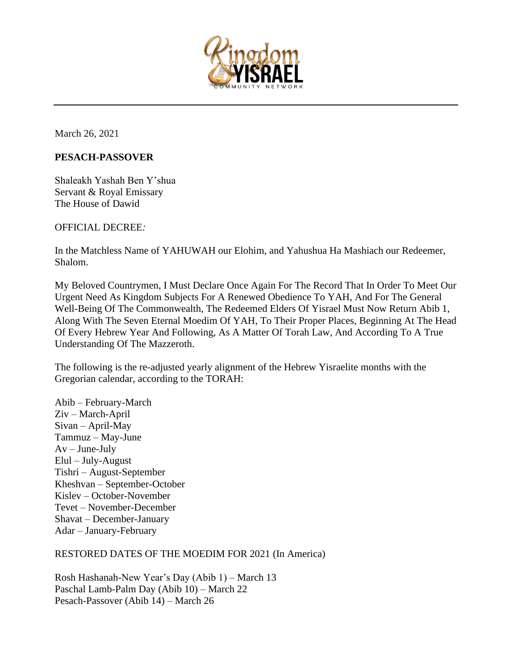

March 26, 2021

## **PESACH-PASSOVER**

Shaleakh Yashah Ben Y'shua Servant & Royal Emissary The House of Dawid

OFFICIAL DECREE*:*

In the Matchless Name of YAHUWAH our Elohim, and Yahushua Ha Mashiach our Redeemer, Shalom.

My Beloved Countrymen, I Must Declare Once Again For The Record That In Order To Meet Our Urgent Need As Kingdom Subjects For A Renewed Obedience To YAH, And For The General Well-Being Of The Commonwealth, The Redeemed Elders Of Yisrael Must Now Return Abib 1, Along With The Seven Eternal Moedim Of YAH, To Their Proper Places, Beginning At The Head Of Every Hebrew Year And Following, As A Matter Of Torah Law, And According To A True Understanding Of The Mazzeroth.

The following is the re-adjusted yearly alignment of the Hebrew Yisraelite months with the Gregorian calendar, according to the TORAH:

Abib – February-March Ziv – March-April Sivan – April-May Tammuz – May-June  $Av$  – June-July Elul – July-August Tishri – August-September Kheshvan – September-October Kislev – October-November Tevet – November-December Shavat – December-January Adar – January-February

## RESTORED DATES OF THE MOEDIM FOR 2021 (In America)

Rosh Hashanah-New Year's Day (Abib 1) – March 13 Paschal Lamb-Palm Day (Abib 10) – March 22 Pesach-Passover (Abib 14) – March 26